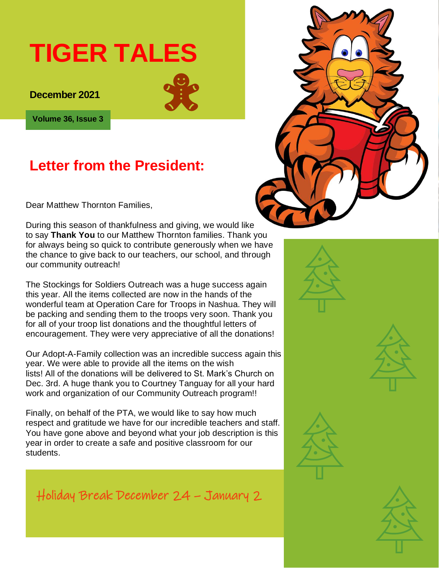# **TIGER TALES**

**December 2021** 



**Volume 36, Issue 3**

# **Letter from the President:**

Dear Matthew Thornton Families,

During this season of thankfulness and giving, we would like to say **Thank You** to our Matthew Thornton families. Thank you for always being so quick to contribute generously when we have the chance to give back to our teachers, our school, and through our community outreach!

The Stockings for Soldiers Outreach was a huge success again this year. All the items collected are now in the hands of the wonderful team at Operation Care for Troops in Nashua. They will be packing and sending them to the troops very soon. Thank you for all of your troop list donations and the thoughtful letters of encouragement. They were very appreciative of all the donations!

Our Adopt-A-Family collection was an incredible success again this year. We were able to provide all the items on the wish lists! All of the donations will be delivered to St. Mark's Church on Dec. 3rd. A huge thank you to Courtney Tanguay for all your hard work and organization of our Community Outreach program!!

Finally, on behalf of the PTA, we would like to say how much respect and gratitude we have for our incredible teachers and staff. You have gone above and beyond what your job description is this year in order to create a safe and positive classroom for our students.

Holiday Break December 24 – January 2

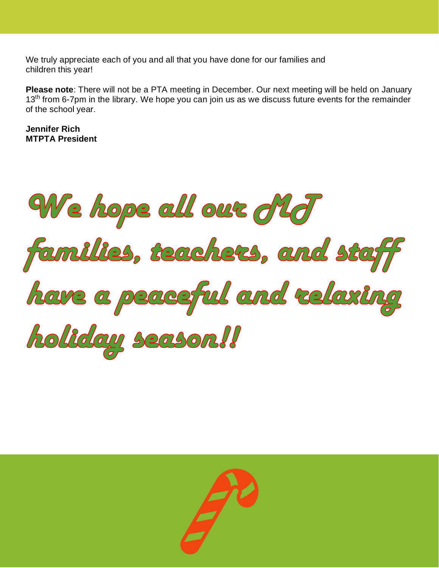We truly appreciate each of you and all that you have done for our families and children this year!

**Please note**: There will not be a PTA meeting in December. Our next meeting will be held on January 13<sup>th</sup> from 6-7pm in the library. We hope you can join us as we discuss future events for the remainder of the school year.

**Jennifer Rich MTPTA President**

We hope all our did families, teachers, and staff have a peaceful and relaxing holiday season!!

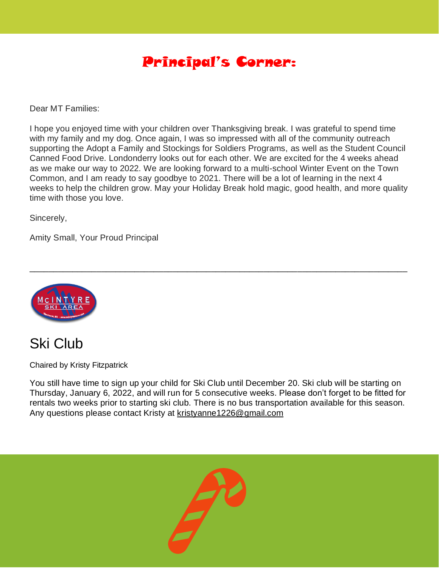### Principal's Corner:

Dear MT Families:

I hope you enjoyed time with your children over Thanksgiving break. I was grateful to spend time with my family and my dog. Once again, I was so impressed with all of the community outreach supporting the Adopt a Family and Stockings for Soldiers Programs, as well as the Student Council Canned Food Drive. Londonderry looks out for each other. We are excited for the 4 weeks ahead as we make our way to 2022. We are looking forward to a multi-school Winter Event on the Town Common, and I am ready to say goodbye to 2021. There will be a lot of learning in the next 4 weeks to help the children grow. May your Holiday Break hold magic, good health, and more quality time with those you love.

\_\_\_\_\_\_\_\_\_\_\_\_\_\_\_\_\_\_\_\_\_\_\_\_\_\_\_\_\_\_\_\_\_\_\_\_\_\_\_\_\_\_\_\_\_\_\_\_\_\_\_\_\_\_\_\_\_\_\_\_\_\_\_\_\_\_\_\_\_\_\_\_\_\_\_\_\_\_\_

Sincerely,

Amity Small, Your Proud Principal





Chaired by Kristy Fitzpatrick

You still have time to sign up your child for Ski Club until December 20. Ski club will be starting on Thursday, January 6, 2022, and will run for 5 consecutive weeks. Please don't forget to be fitted for rentals two weeks prior to starting ski club. There is no bus transportation available for this season. Any questions please contact Kristy at [kristyanne1226@gmail.com](mailto:kristyanne1226@gmail.com)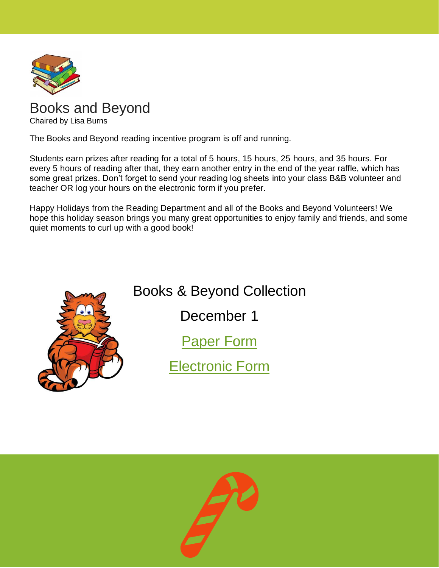

#### [Books](http://the1709blog.blogspot.com/2013/03/supreme-court-says-copyright-law-does.html) and Beyond

Chaired by Lisa Burns

The [Books a](https://creativecommons.org/licenses/by/3.0/)nd Beyond reading incentive program is off and running.

Students earn prizes after reading for a total of 5 hours, 15 hours, 25 hours, and 35 hours. For every 5 hours of reading after that, they earn another entry in the end of the year raffle, which has some great prizes. Don't forget to send your reading log sheets into your class B&B volunteer and teacher OR log your hours on the electronic form if you prefer.

Happy Holidays from the Reading Department and all of the Books and Beyond Volunteers! We hope this holiday season brings you many great opportunities to enjoy family and friends, and some quiet moments to curl up with a good book!



# Books & Beyond Collection

December 1

[Paper Form](https://docs.google.com/document/d/1L3LTv9M_g6YVKjP-dI7m66fTQZWP3yww/edit?usp=sharing&ouid=112421811642869798659&rtpof=true&sd=true)

[Electronic Form](https://docs.google.com/forms/d/e/1FAIpQLSdUn_6x_r05-wTXlaRe5flttDJB_91rCTbi_nyimwKvbxJmAw/viewform)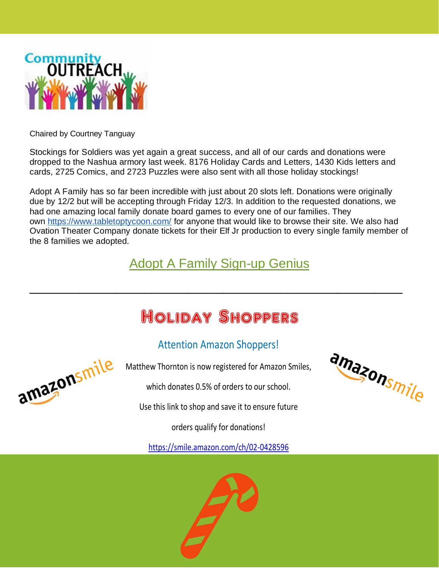

Chaired by Courtney Tanguay

Stockings for Soldiers was yet again a great success, and all of our cards and donations were dropped to the Nashua armory last week. 8176 Holiday Cards and Letters, 1430 Kids letters and cards, 2725 Comics, and 2723 Puzzles were also sent with all those holiday stockings!

Adopt A Family has so far been incredible with just about 20 slots left. Donations were originally due by 12/2 but will be accepting through Friday 12/3. In addition to the requested donations, we had one amazing local family donate board games to every one of our families. They own <https://www.tabletoptycoon.com/> for anyone that would like to browse their site. We also had Ovation Theater Company donate tickets for their Elf Jr production to every single family member of the 8 families we adopted.

### [Adopt A Family Sign-up Genius](https://m.signupgenius.com/#!/showSignUp/10c0d4aaeac2ea2fbcf8-mtpta/107235068)

# Holiday Shoppers

\_\_\_\_\_\_\_\_\_\_\_\_\_\_\_\_\_\_\_\_\_\_\_\_\_\_\_\_\_\_\_\_\_\_\_\_\_\_\_\_\_\_\_\_\_\_\_\_\_\_\_\_

#### Attention Amazon Shoppers!

Matthew Thornton is now registered for Amazon Smiles,

which donates 0.5% of orders to our school.

Use this link to shop and save it to ensure future

orders qualify for donations!

https://smile.amazon.com/ch/02-0428596





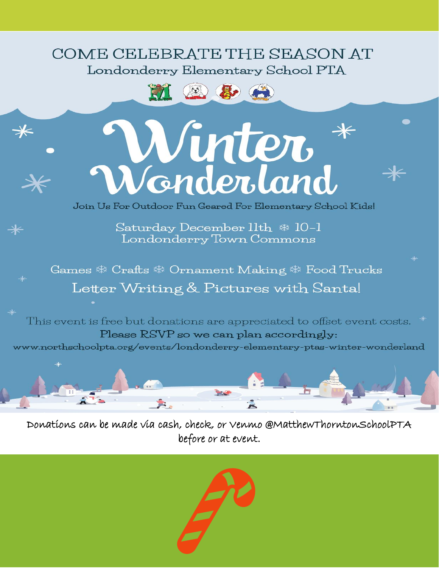### COME CELEBRATE THE SEASON AT Londonderry Elementary School PTA





 $\divideontimes$ 

⋇



Join Us For Outdoor Fun Geared For Elementary School Kids!

Saturday December 11th \* 10-1 Londonderry Town Commons

Games ※ Crafts ※ Ornament Making ※ Food Trucks Letter Writing & Pictures with Santa!

This event is free but donations are appreciated to offset event costs. Please RSVP so we can plan accordingly:

www.northschoolpta.org/events/londonderry-elementary-ptas-winter-wonderland



Donations can be made via cash, check, or Venmo @MatthewThorntonSchoolPTA before or at event.